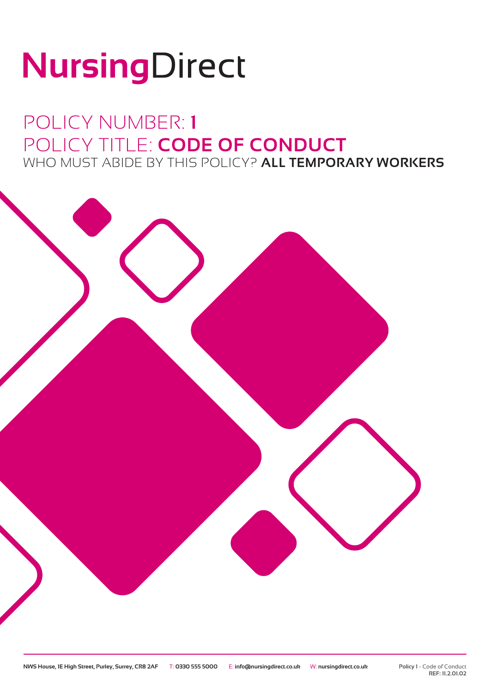# NursingDirect

## POLICY NUMBER: **1** POLICY TITLE: **CODE OF CONDUCT** WHO MUST ABIDE BY THIS POLICY? **ALL TEMPORARY WORKERS**